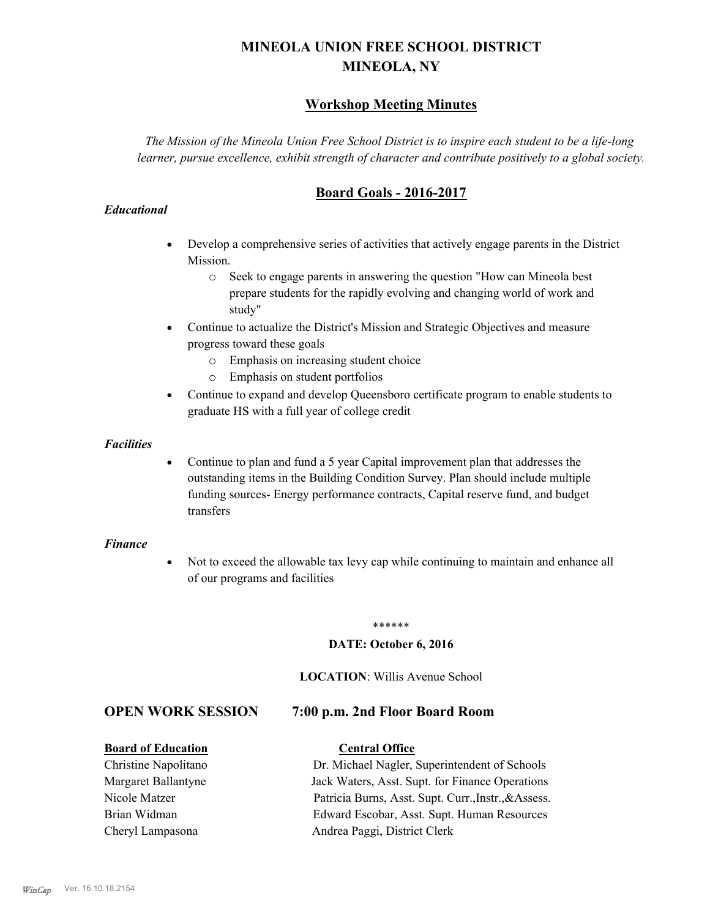# **MINEOLA UNION FREE SCHOOL DISTRICT MINEOLA, NY**

# **Workshop Meeting Minutes**

*The Mission of the Mineola Union Free School District is to inspire each student to be a life-long learner, pursue excellence, exhibit strength of character and contribute positively to a global society.*

# **Board Goals - 2016-2017**

#### *Educational*

- · Develop a comprehensive series of activities that actively engage parents in the District Mission.
	- o Seek to engage parents in answering the question "How can Mineola best prepare students for the rapidly evolving and changing world of work and study"
- · Continue to actualize the District's Mission and Strategic Objectives and measure progress toward these goals
	- o Emphasis on increasing student choice
	- o Emphasis on student portfolios
- · Continue to expand and develop Queensboro certificate program to enable students to graduate HS with a full year of college credit

#### *Facilities*

· Continue to plan and fund a 5 year Capital improvement plan that addresses the outstanding items in the Building Condition Survey. Plan should include multiple funding sources- Energy performance contracts, Capital reserve fund, and budget transfers

#### *Finance*

• Not to exceed the allowable tax levy cap while continuing to maintain and enhance all of our programs and facilities

#### \*\*\*\*\*\*

#### **DATE: October 6, 2016**

#### **LOCATION**: Willis Avenue School

# **OPEN WORK SESSION 7:00 p.m. 2nd Floor Board Room**

#### **Board of Education Central Office**

Christine Napolitano Dr. Michael Nagler, Superintendent of Schools Margaret Ballantyne Jack Waters, Asst. Supt. for Finance Operations Nicole Matzer Patricia Burns, Asst. Supt. Curr.,Instr.,&Assess. Brian Widman Edward Escobar, Asst. Supt. Human Resources Cheryl Lampasona Andrea Paggi, District Clerk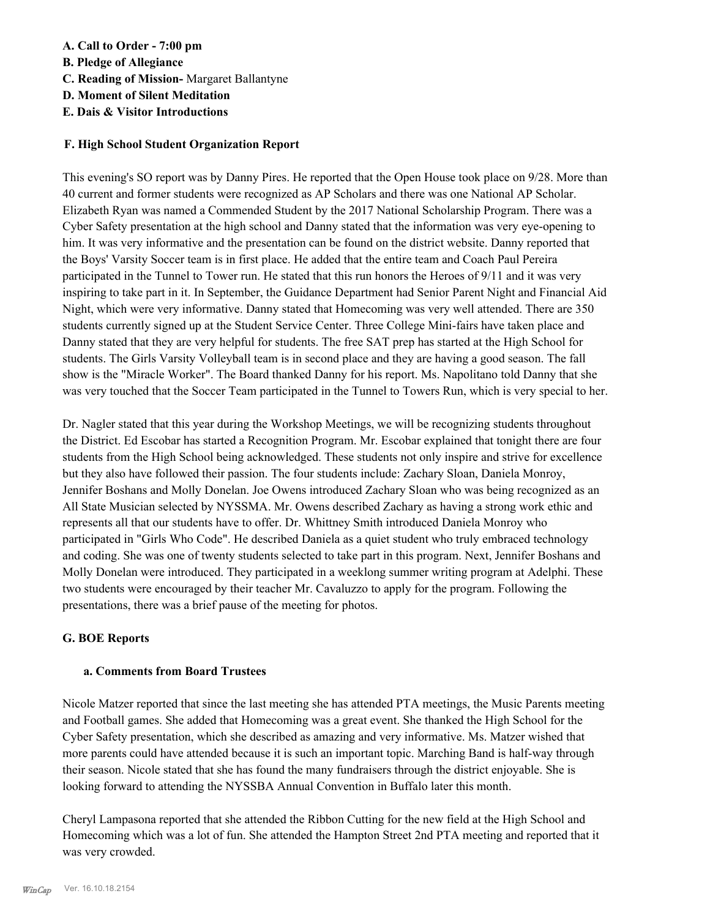## **A. Call to Order - 7:00 pm**

- **B. Pledge of Allegiance**
- **C. Reading of Mission-** Margaret Ballantyne
- **D. Moment of Silent Meditation**
- **E. Dais & Visitor Introductions**

## **F. High School Student Organization Report**

This evening's SO report was by Danny Pires. He reported that the Open House took place on 9/28. More than 40 current and former students were recognized as AP Scholars and there was one National AP Scholar. Elizabeth Ryan was named a Commended Student by the 2017 National Scholarship Program. There was a Cyber Safety presentation at the high school and Danny stated that the information was very eye-opening to him. It was very informative and the presentation can be found on the district website. Danny reported that the Boys' Varsity Soccer team is in first place. He added that the entire team and Coach Paul Pereira participated in the Tunnel to Tower run. He stated that this run honors the Heroes of 9/11 and it was very inspiring to take part in it. In September, the Guidance Department had Senior Parent Night and Financial Aid Night, which were very informative. Danny stated that Homecoming was very well attended. There are 350 students currently signed up at the Student Service Center. Three College Mini-fairs have taken place and Danny stated that they are very helpful for students. The free SAT prep has started at the High School for students. The Girls Varsity Volleyball team is in second place and they are having a good season. The fall show is the "Miracle Worker". The Board thanked Danny for his report. Ms. Napolitano told Danny that she was very touched that the Soccer Team participated in the Tunnel to Towers Run, which is very special to her.

Dr. Nagler stated that this year during the Workshop Meetings, we will be recognizing students throughout the District. Ed Escobar has started a Recognition Program. Mr. Escobar explained that tonight there are four students from the High School being acknowledged. These students not only inspire and strive for excellence but they also have followed their passion. The four students include: Zachary Sloan, Daniela Monroy, Jennifer Boshans and Molly Donelan. Joe Owens introduced Zachary Sloan who was being recognized as an All State Musician selected by NYSSMA. Mr. Owens described Zachary as having a strong work ethic and represents all that our students have to offer. Dr. Whittney Smith introduced Daniela Monroy who participated in "Girls Who Code". He described Daniela as a quiet student who truly embraced technology and coding. She was one of twenty students selected to take part in this program. Next, Jennifer Boshans and Molly Donelan were introduced. They participated in a weeklong summer writing program at Adelphi. These two students were encouraged by their teacher Mr. Cavaluzzo to apply for the program. Following the presentations, there was a brief pause of the meeting for photos.

# **G. BOE Reports**

## **a. Comments from Board Trustees**

Nicole Matzer reported that since the last meeting she has attended PTA meetings, the Music Parents meeting and Football games. She added that Homecoming was a great event. She thanked the High School for the Cyber Safety presentation, which she described as amazing and very informative. Ms. Matzer wished that more parents could have attended because it is such an important topic. Marching Band is half-way through their season. Nicole stated that she has found the many fundraisers through the district enjoyable. She is looking forward to attending the NYSSBA Annual Convention in Buffalo later this month.

Cheryl Lampasona reported that she attended the Ribbon Cutting for the new field at the High School and Homecoming which was a lot of fun. She attended the Hampton Street 2nd PTA meeting and reported that it was very crowded.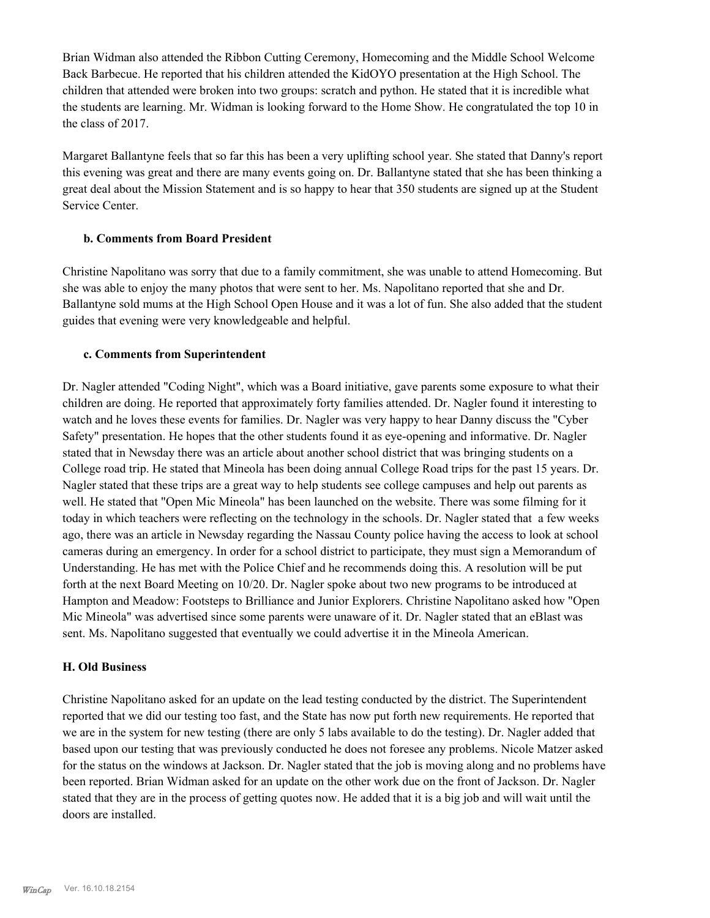Brian Widman also attended the Ribbon Cutting Ceremony, Homecoming and the Middle School Welcome Back Barbecue. He reported that his children attended the KidOYO presentation at the High School. The children that attended were broken into two groups: scratch and python. He stated that it is incredible what the students are learning. Mr. Widman is looking forward to the Home Show. He congratulated the top 10 in the class of 2017.

Margaret Ballantyne feels that so far this has been a very uplifting school year. She stated that Danny's report this evening was great and there are many events going on. Dr. Ballantyne stated that she has been thinking a great deal about the Mission Statement and is so happy to hear that 350 students are signed up at the Student Service Center.

## **b. Comments from Board President**

Christine Napolitano was sorry that due to a family commitment, she was unable to attend Homecoming. But she was able to enjoy the many photos that were sent to her. Ms. Napolitano reported that she and Dr. Ballantyne sold mums at the High School Open House and it was a lot of fun. She also added that the student guides that evening were very knowledgeable and helpful.

#### **c. Comments from Superintendent**

Dr. Nagler attended "Coding Night", which was a Board initiative, gave parents some exposure to what their children are doing. He reported that approximately forty families attended. Dr. Nagler found it interesting to watch and he loves these events for families. Dr. Nagler was very happy to hear Danny discuss the "Cyber Safety" presentation. He hopes that the other students found it as eye-opening and informative. Dr. Nagler stated that in Newsday there was an article about another school district that was bringing students on a College road trip. He stated that Mineola has been doing annual College Road trips for the past 15 years. Dr. Nagler stated that these trips are a great way to help students see college campuses and help out parents as well. He stated that "Open Mic Mineola" has been launched on the website. There was some filming for it today in which teachers were reflecting on the technology in the schools. Dr. Nagler stated that a few weeks ago, there was an article in Newsday regarding the Nassau County police having the access to look at school cameras during an emergency. In order for a school district to participate, they must sign a Memorandum of Understanding. He has met with the Police Chief and he recommends doing this. A resolution will be put forth at the next Board Meeting on 10/20. Dr. Nagler spoke about two new programs to be introduced at Hampton and Meadow: Footsteps to Brilliance and Junior Explorers. Christine Napolitano asked how "Open Mic Mineola" was advertised since some parents were unaware of it. Dr. Nagler stated that an eBlast was sent. Ms. Napolitano suggested that eventually we could advertise it in the Mineola American.

#### **H. Old Business**

Christine Napolitano asked for an update on the lead testing conducted by the district. The Superintendent reported that we did our testing too fast, and the State has now put forth new requirements. He reported that we are in the system for new testing (there are only 5 labs available to do the testing). Dr. Nagler added that based upon our testing that was previously conducted he does not foresee any problems. Nicole Matzer asked for the status on the windows at Jackson. Dr. Nagler stated that the job is moving along and no problems have been reported. Brian Widman asked for an update on the other work due on the front of Jackson. Dr. Nagler stated that they are in the process of getting quotes now. He added that it is a big job and will wait until the doors are installed.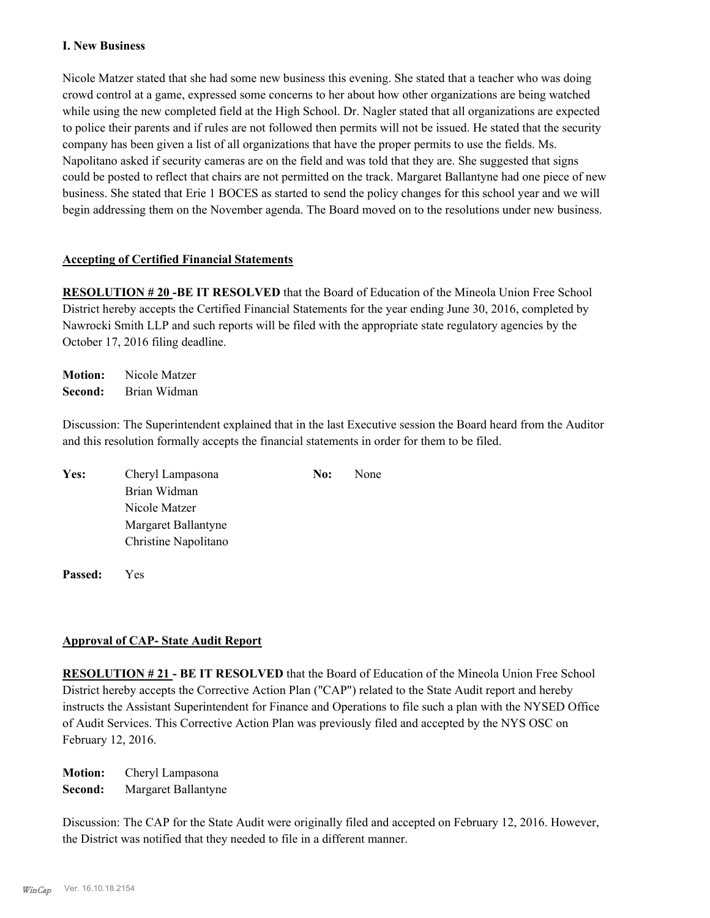## **I. New Business**

Nicole Matzer stated that she had some new business this evening. She stated that a teacher who was doing crowd control at a game, expressed some concerns to her about how other organizations are being watched while using the new completed field at the High School. Dr. Nagler stated that all organizations are expected to police their parents and if rules are not followed then permits will not be issued. He stated that the security company has been given a list of all organizations that have the proper permits to use the fields. Ms. Napolitano asked if security cameras are on the field and was told that they are. She suggested that signs could be posted to reflect that chairs are not permitted on the track. Margaret Ballantyne had one piece of new business. She stated that Erie 1 BOCES as started to send the policy changes for this school year and we will begin addressing them on the November agenda. The Board moved on to the resolutions under new business.

#### **Accepting of Certified Financial Statements**

**RESOLUTION # 20 -BE IT RESOLVED** that the Board of Education of the Mineola Union Free School District hereby accepts the Certified Financial Statements for the year ending June 30, 2016, completed by Nawrocki Smith LLP and such reports will be filed with the appropriate state regulatory agencies by the October 17, 2016 filing deadline.

**Motion:** Nicole Matzer **Second:** Brian Widman

Discussion: The Superintendent explained that in the last Executive session the Board heard from the Auditor and this resolution formally accepts the financial statements in order for them to be filed.

| Yes: | Cheryl Lampasona     | No: | None |
|------|----------------------|-----|------|
|      | Brian Widman         |     |      |
|      | Nicole Matzer        |     |      |
|      | Margaret Ballantyne  |     |      |
|      | Christine Napolitano |     |      |
|      |                      |     |      |

**Passed:** Yes

## **Approval of CAP- State Audit Report**

**RESOLUTION # 21 - BE IT RESOLVED** that the Board of Education of the Mineola Union Free School District hereby accepts the Corrective Action Plan ("CAP") related to the State Audit report and hereby instructs the Assistant Superintendent for Finance and Operations to file such a plan with the NYSED Office of Audit Services. This Corrective Action Plan was previously filed and accepted by the NYS OSC on February 12, 2016.

**Motion:** Cheryl Lampasona **Second:** Margaret Ballantyne

Discussion: The CAP for the State Audit were originally filed and accepted on February 12, 2016. However, the District was notified that they needed to file in a different manner.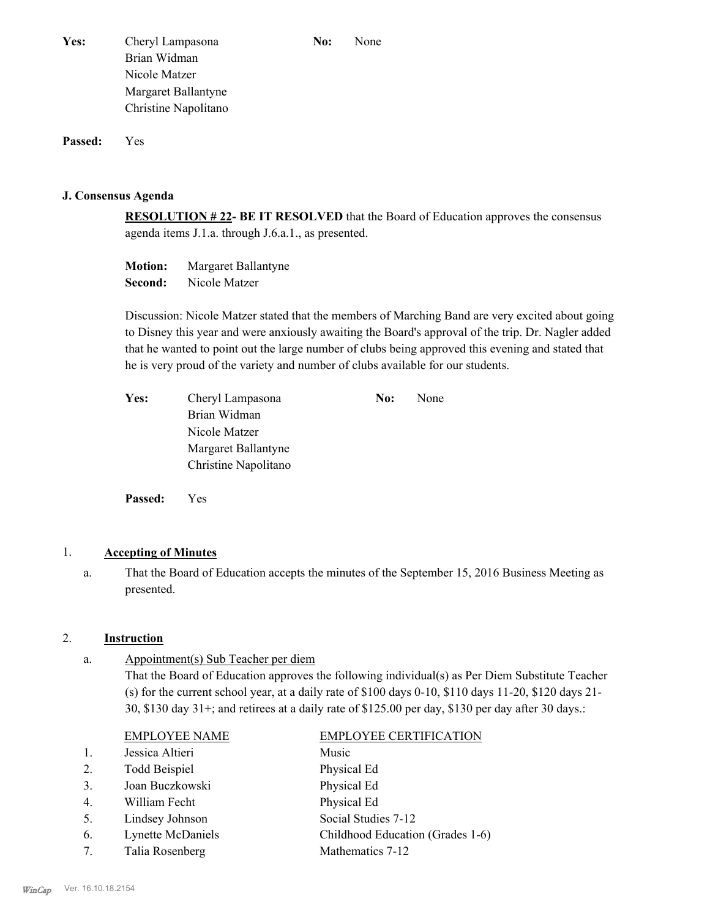**Passed:** Yes

#### **J. Consensus Agenda**

**RESOLUTION # 22- BE IT RESOLVED** that the Board of Education approves the consensus agenda items J.1.a. through J.6.a.1., as presented.

**Motion:** Margaret Ballantyne **Second:** Nicole Matzer

Discussion: Nicole Matzer stated that the members of Marching Band are very excited about going to Disney this year and were anxiously awaiting the Board's approval of the trip. Dr. Nagler added that he wanted to point out the large number of clubs being approved this evening and stated that he is very proud of the variety and number of clubs available for our students.

| Yes: | Cheryl Lampasona     | No: | <b>None</b> |
|------|----------------------|-----|-------------|
|      | Brian Widman         |     |             |
|      | Nicole Matzer        |     |             |
|      | Margaret Ballantyne  |     |             |
|      | Christine Napolitano |     |             |

**Passed:** Yes

## 1. **Accepting of Minutes**

That the Board of Education accepts the minutes of the September 15, 2016 Business Meeting as presented. a.

## 2. **Instruction**

Appointment(s) Sub Teacher per diem That the Board of Education approves the following individual(s) as Per Diem Substitute Teacher (s) for the current school year, at a daily rate of \$100 days 0-10, \$110 days 11-20, \$120 days 21- 30, \$130 day 31+; and retirees at a daily rate of \$125.00 per day, \$130 per day after 30 days.: a.

|                | <b>EMPLOYEE NAME</b> | <b>EMPLOYEE CERTIFICATION</b>    |
|----------------|----------------------|----------------------------------|
|                | Jessica Altieri      | Music                            |
| 2.             | <b>Todd Beispiel</b> | Physical Ed                      |
| 3.             | Joan Buczkowski      | Physical Ed                      |
| $\overline{4}$ | William Fecht        | Physical Ed                      |
| 5.             | Lindsey Johnson      | Social Studies 7-12              |
| 6.             | Lynette McDaniels    | Childhood Education (Grades 1-6) |
| 7.             | Talia Rosenberg      | Mathematics 7-12                 |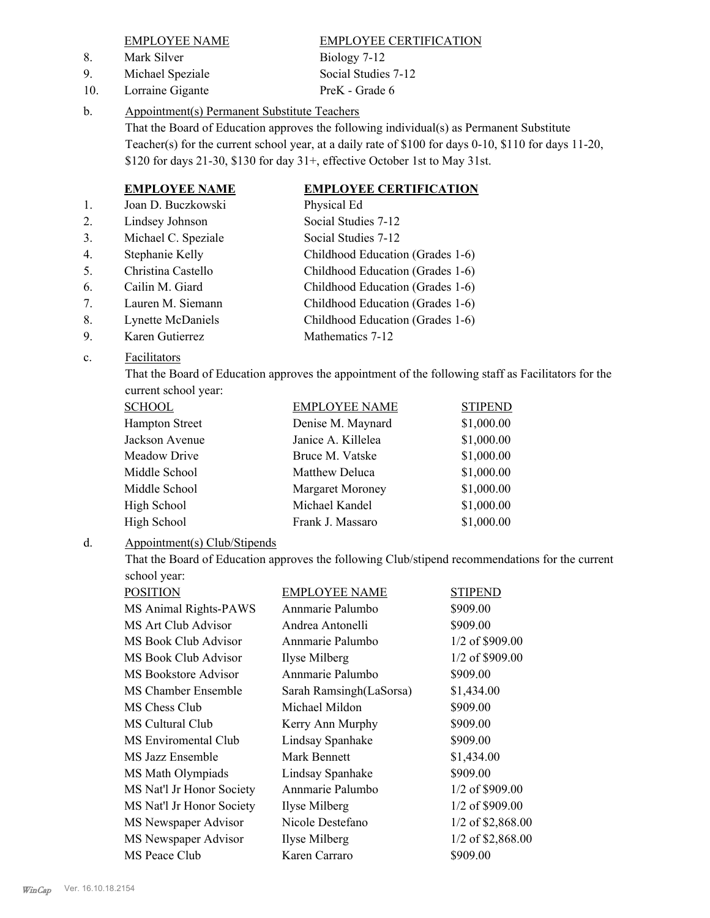8. Mark Silver Biology 7-12

9. Michael Speziale Social Studies 7-12

10. Lorraine Gigante PreK - Grade 6

EMPLOYEE NAME EMPLOYEE CERTIFICATION

#### Appointment(s) Permanent Substitute Teachers b.

That the Board of Education approves the following individual(s) as Permanent Substitute Teacher(s) for the current school year, at a daily rate of \$100 for days 0-10, \$110 for days 11-20, \$120 for days 21-30, \$130 for day 31+, effective October 1st to May 31st.

# **EMPLOYEE NAME EMPLOYEE CERTIFICATION**

- 1. Joan D. Buczkowski Physical Ed 2. Lindsey Johnson Social Studies 7-12 3. Michael C. Speziale Social Studies 7-12 4. Stephanie Kelly Childhood Education (Grades 1-6) 5. Christina Castello Childhood Education (Grades 1-6) 6. Cailin M. Giard Childhood Education (Grades 1-6)
	-
- 7. Lauren M. Siemann Childhood Education (Grades 1-6) 8. Lynette McDaniels Childhood Education (Grades 1-6)
- 9. Karen Gutierrez Mathematics 7-12

#### Facilitators c.

That the Board of Education approves the appointment of the following staff as Facilitators for the current school year:

| <b>SCHOOL</b>         | <b>EMPLOYEE NAME</b> | <b>STIPEND</b> |
|-----------------------|----------------------|----------------|
| <b>Hampton Street</b> | Denise M. Maynard    | \$1,000.00     |
| Jackson Avenue        | Janice A. Killelea   | \$1,000.00     |
| Meadow Drive          | Bruce M. Vatske      | \$1,000.00     |
| Middle School         | Matthew Deluca       | \$1,000.00     |
| Middle School         | Margaret Moroney     | \$1,000.00     |
| High School           | Michael Kandel       | \$1,000.00     |
| High School           | Frank J. Massaro     | \$1,000.00     |

#### Appointment(s) Club/Stipends d.

That the Board of Education approves the following Club/stipend recommendations for the current school year:

| POSITION                  | <b>EMPLOYEE NAME</b>    | <b>STIPEND</b>      |
|---------------------------|-------------------------|---------------------|
| MS Animal Rights-PAWS     | Annmarie Palumbo        | \$909.00            |
| MS Art Club Advisor       | Andrea Antonelli        | \$909.00            |
| MS Book Club Advisor      | Annmarie Palumbo        | $1/2$ of \$909.00   |
| MS Book Club Advisor      | Ilyse Milberg           | 1/2 of \$909.00     |
| MS Bookstore Advisor      | Annmarie Palumbo        | \$909.00            |
| MS Chamber Ensemble       | Sarah Ramsingh(LaSorsa) | \$1,434.00          |
| MS Chess Club             | Michael Mildon          | \$909.00            |
| MS Cultural Club          | Kerry Ann Murphy        | \$909.00            |
| MS Enviromental Club      | Lindsay Spanhake        | \$909.00            |
| MS Jazz Ensemble          | Mark Bennett            | \$1,434.00          |
| MS Math Olympiads         | Lindsay Spanhake        | \$909.00            |
| MS Nat'l Jr Honor Society | Annmarie Palumbo        | $1/2$ of \$909.00   |
| MS Nat'l Jr Honor Society | Ilyse Milberg           | 1/2 of \$909.00     |
| MS Newspaper Advisor      | Nicole Destefano        | 1/2 of \$2,868.00   |
| MS Newspaper Advisor      | Ilyse Milberg           | $1/2$ of \$2,868.00 |
| MS Peace Club             | Karen Carraro           | \$909.00            |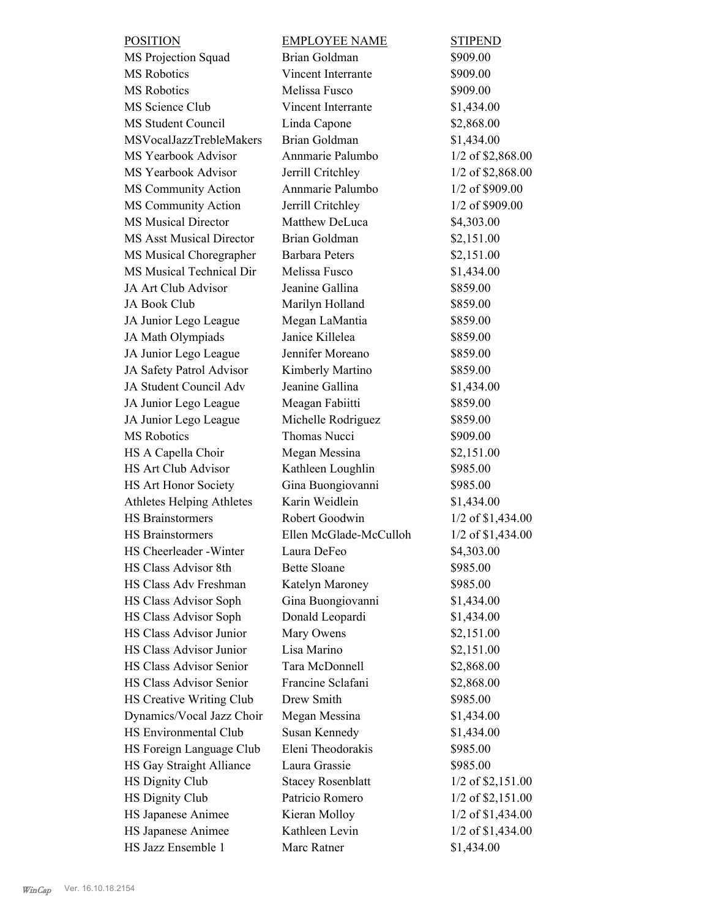| <b>POSITION</b>                  | <b>EMPLOYEE NAME</b>     | <b>STIPEND</b>         |
|----------------------------------|--------------------------|------------------------|
| MS Projection Squad              | Brian Goldman            | \$909.00               |
| <b>MS</b> Robotics               | Vincent Interrante       | \$909.00               |
| MS Robotics                      | Melissa Fusco            | \$909.00               |
| MS Science Club                  | Vincent Interrante       | \$1,434.00             |
| MS Student Council               | Linda Capone             | \$2,868.00             |
| MSVocalJazzTrebleMakers          | Brian Goldman            | \$1,434.00             |
| MS Yearbook Advisor              | Annmarie Palumbo         | 1/2 of \$2,868.00      |
| MS Yearbook Advisor              | Jerrill Critchley        | 1/2 of \$2,868.00      |
| MS Community Action              | Annmarie Palumbo         | 1/2 of \$909.00        |
| MS Community Action              | Jerrill Critchley        | 1/2 of \$909.00        |
| <b>MS Musical Director</b>       | Matthew DeLuca           | \$4,303.00             |
| <b>MS Asst Musical Director</b>  | Brian Goldman            | \$2,151.00             |
| MS Musical Choregrapher          | <b>Barbara Peters</b>    | \$2,151.00             |
| MS Musical Technical Dir         | Melissa Fusco            | \$1,434.00             |
| JA Art Club Advisor              | Jeanine Gallina          | \$859.00               |
| <b>JA Book Club</b>              | Marilyn Holland          | \$859.00               |
| JA Junior Lego League            | Megan LaMantia           | \$859.00               |
| JA Math Olympiads                | Janice Killelea          | \$859.00               |
| JA Junior Lego League            | Jennifer Moreano         | \$859.00               |
| JA Safety Patrol Advisor         | Kimberly Martino         | \$859.00               |
| JA Student Council Adv           | Jeanine Gallina          | \$1,434.00             |
| JA Junior Lego League            | Meagan Fabiitti          | \$859.00               |
| JA Junior Lego League            | Michelle Rodriguez       | \$859.00               |
| <b>MS</b> Robotics               | Thomas Nucci             | \$909.00               |
| HS A Capella Choir               | Megan Messina            | \$2,151.00             |
| <b>HS Art Club Advisor</b>       | Kathleen Loughlin        | \$985.00               |
| HS Art Honor Society             | Gina Buongiovanni        | \$985.00               |
| <b>Athletes Helping Athletes</b> | Karin Weidlein           | \$1,434.00             |
| <b>HS</b> Brainstormers          | Robert Goodwin           | 1/2 of \$1,434.00      |
| <b>HS</b> Brainstormers          | Ellen McGlade-McCulloh   | 1/2 of \$1,434.00      |
| HS Cheerleader - Winter          | Laura DeFeo              | \$4,303.00             |
| HS Class Advisor 8th             | <b>Bette Sloane</b>      | \$985.00               |
| HS Class Adv Freshman            | Katelyn Maroney          | \$985.00               |
| HS Class Advisor Soph            | Gina Buongiovanni        | \$1,434.00             |
| HS Class Advisor Soph            | Donald Leopardi          | \$1,434.00             |
| HS Class Advisor Junior          | Mary Owens               | \$2,151.00             |
| HS Class Advisor Junior          | Lisa Marino              | \$2,151.00             |
| HS Class Advisor Senior          | Tara McDonnell           | \$2,868.00             |
| HS Class Advisor Senior          | Francine Sclafani        | \$2,868.00             |
| HS Creative Writing Club         | Drew Smith               | \$985.00               |
| Dynamics/Vocal Jazz Choir        | Megan Messina            | \$1,434.00             |
| HS Environmental Club            | Susan Kennedy            |                        |
|                                  | Eleni Theodorakis        | \$1,434.00<br>\$985.00 |
| HS Foreign Language Club         |                          |                        |
| HS Gay Straight Alliance         | Laura Grassie            | \$985.00               |
| <b>HS Dignity Club</b>           | <b>Stacey Rosenblatt</b> | $1/2$ of \$2,151.00    |
| <b>HS Dignity Club</b>           | Patricio Romero          | 1/2 of \$2,151.00      |
| HS Japanese Animee               | Kieran Molloy            | 1/2 of \$1,434.00      |
| HS Japanese Animee               | Kathleen Levin           | 1/2 of \$1,434.00      |
| HS Jazz Ensemble 1               | Marc Ratner              | \$1,434.00             |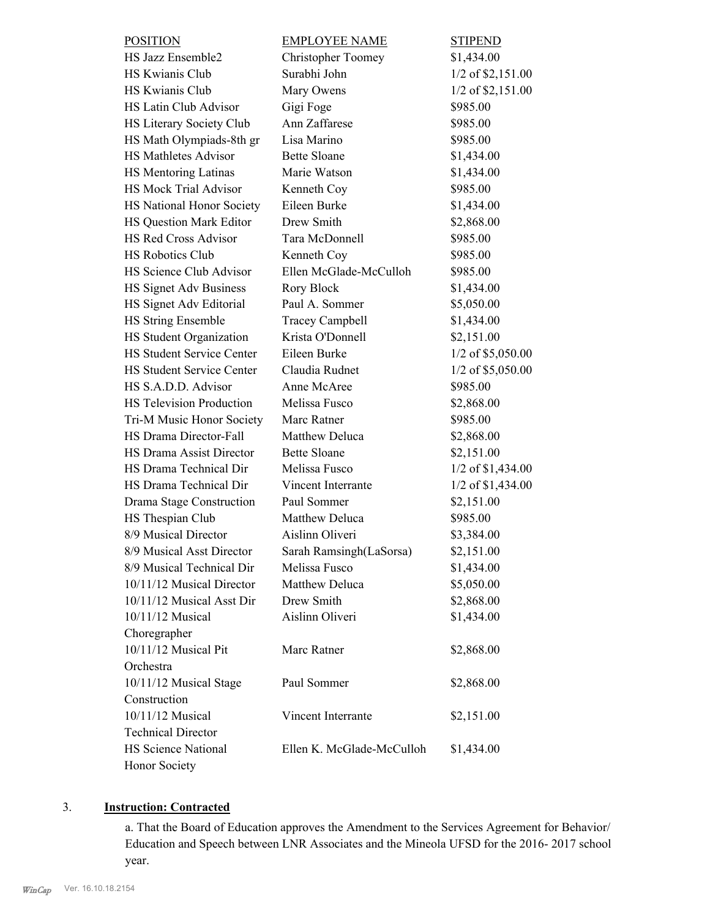| <b>POSITION</b>                  | <b>EMPLOYEE NAME</b>      | <b>STIPEND</b>      |
|----------------------------------|---------------------------|---------------------|
| HS Jazz Ensemble2                | <b>Christopher Toomey</b> | \$1,434.00          |
| HS Kwianis Club                  | Surabhi John              | $1/2$ of \$2,151.00 |
| HS Kwianis Club                  | Mary Owens                | $1/2$ of \$2,151.00 |
| HS Latin Club Advisor            | Gigi Foge                 | \$985.00            |
| HS Literary Society Club         | Ann Zaffarese             | \$985.00            |
| HS Math Olympiads-8th gr         | Lisa Marino               | \$985.00            |
| <b>HS Mathletes Advisor</b>      | <b>Bette Sloane</b>       | \$1,434.00          |
| HS Mentoring Latinas             | Marie Watson              | \$1,434.00          |
| <b>HS Mock Trial Advisor</b>     | Kenneth Coy               | \$985.00            |
| HS National Honor Society        | Eileen Burke              | \$1,434.00          |
| HS Question Mark Editor          | Drew Smith                | \$2,868.00          |
| <b>HS Red Cross Advisor</b>      | Tara McDonnell            | \$985.00            |
| <b>HS Robotics Club</b>          | Kenneth Coy               | \$985.00            |
| HS Science Club Advisor          | Ellen McGlade-McCulloh    | \$985.00            |
| <b>HS Signet Adv Business</b>    | Rory Block                | \$1,434.00          |
| HS Signet Adv Editorial          | Paul A. Sommer            | \$5,050.00          |
| <b>HS String Ensemble</b>        | <b>Tracey Campbell</b>    | \$1,434.00          |
| HS Student Organization          | Krista O'Donnell          | \$2,151.00          |
| <b>HS Student Service Center</b> | Eileen Burke              | 1/2 of \$5,050.00   |
| <b>HS Student Service Center</b> | Claudia Rudnet            | $1/2$ of \$5,050.00 |
| HS S.A.D.D. Advisor              | Anne McAree               | \$985.00            |
| <b>HS Television Production</b>  | Melissa Fusco             | \$2,868.00          |
| Tri-M Music Honor Society        | Marc Ratner               | \$985.00            |
| HS Drama Director-Fall           | Matthew Deluca            | \$2,868.00          |
| <b>HS Drama Assist Director</b>  | <b>Bette Sloane</b>       | \$2,151.00          |
| HS Drama Technical Dir           | Melissa Fusco             | $1/2$ of \$1,434.00 |
| HS Drama Technical Dir           | Vincent Interrante        | 1/2 of \$1,434.00   |
| Drama Stage Construction         | Paul Sommer               | \$2,151.00          |
| HS Thespian Club                 | Matthew Deluca            | \$985.00            |
| 8/9 Musical Director             | Aislinn Oliveri           | \$3,384.00          |
| 8/9 Musical Asst Director        | Sarah Ramsingh(LaSorsa)   | \$2,151.00          |
| 8/9 Musical Technical Dir        | Melissa Fusco             | \$1,434.00          |
| 10/11/12 Musical Director        | Matthew Deluca            | \$5,050.00          |
| 10/11/12 Musical Asst Dir        | Drew Smith                | \$2,868.00          |
| 10/11/12 Musical                 | Aislinn Oliveri           | \$1,434.00          |
| Choregrapher                     |                           |                     |
| 10/11/12 Musical Pit             | Marc Ratner               | \$2,868.00          |
| Orchestra                        |                           |                     |
| 10/11/12 Musical Stage           | Paul Sommer               | \$2,868.00          |
| Construction                     |                           |                     |
| 10/11/12 Musical                 | Vincent Interrante        | \$2,151.00          |
| <b>Technical Director</b>        |                           |                     |
| <b>HS Science National</b>       | Ellen K. McGlade-McCulloh | \$1,434.00          |
| Honor Society                    |                           |                     |

# 3. **Instruction: Contracted**

a. That the Board of Education approves the Amendment to the Services Agreement for Behavior/ Education and Speech between LNR Associates and the Mineola UFSD for the 2016- 2017 school year.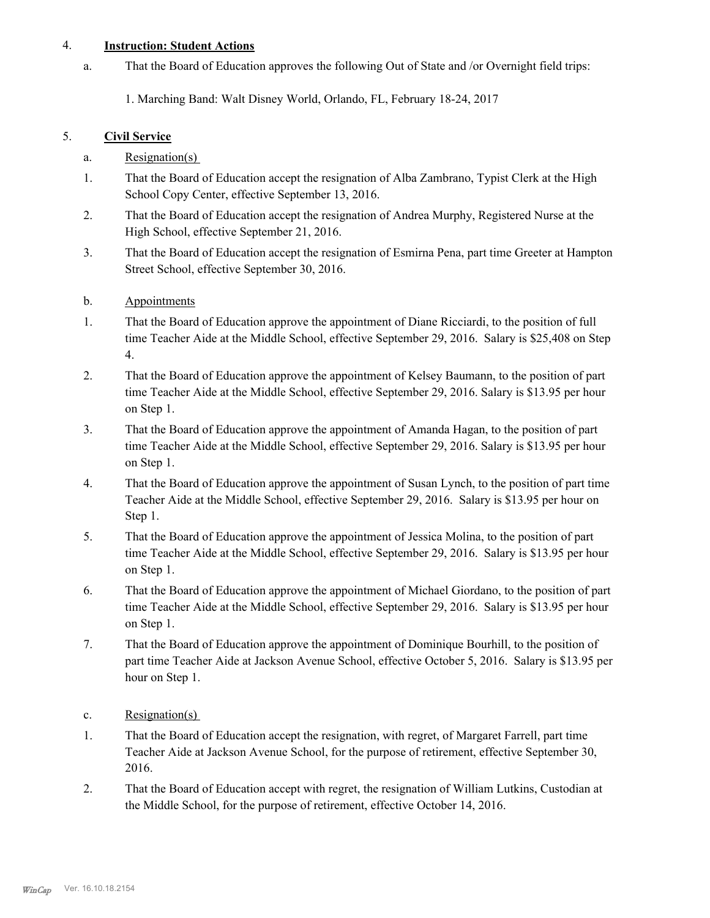## 4. **Instruction: Student Actions**

That the Board of Education approves the following Out of State and /or Overnight field trips: a.

1. Marching Band: Walt Disney World, Orlando, FL, February 18-24, 2017

## 5. **Civil Service**

- a. Resignation(s)
- That the Board of Education accept the resignation of Alba Zambrano, Typist Clerk at the High School Copy Center, effective September 13, 2016. 1.
- That the Board of Education accept the resignation of Andrea Murphy, Registered Nurse at the High School, effective September 21, 2016. 2.
- That the Board of Education accept the resignation of Esmirna Pena, part time Greeter at Hampton Street School, effective September 30, 2016. 3.

## b. Appointments

- That the Board of Education approve the appointment of Diane Ricciardi, to the position of full time Teacher Aide at the Middle School, effective September 29, 2016. Salary is \$25,408 on Step 4. 1.
- That the Board of Education approve the appointment of Kelsey Baumann, to the position of part time Teacher Aide at the Middle School, effective September 29, 2016. Salary is \$13.95 per hour on Step 1. 2.
- That the Board of Education approve the appointment of Amanda Hagan, to the position of part time Teacher Aide at the Middle School, effective September 29, 2016. Salary is \$13.95 per hour on Step 1. 3.
- That the Board of Education approve the appointment of Susan Lynch, to the position of part time Teacher Aide at the Middle School, effective September 29, 2016. Salary is \$13.95 per hour on Step 1. 4.
- That the Board of Education approve the appointment of Jessica Molina, to the position of part time Teacher Aide at the Middle School, effective September 29, 2016. Salary is \$13.95 per hour on Step 1. 5.
- That the Board of Education approve the appointment of Michael Giordano, to the position of part time Teacher Aide at the Middle School, effective September 29, 2016. Salary is \$13.95 per hour on Step 1. 6.
- That the Board of Education approve the appointment of Dominique Bourhill, to the position of part time Teacher Aide at Jackson Avenue School, effective October 5, 2016. Salary is \$13.95 per hour on Step 1. 7.
- c. Resignation(s)
- That the Board of Education accept the resignation, with regret, of Margaret Farrell, part time Teacher Aide at Jackson Avenue School, for the purpose of retirement, effective September 30, 2016. 1.
- That the Board of Education accept with regret, the resignation of William Lutkins, Custodian at the Middle School, for the purpose of retirement, effective October 14, 2016. 2.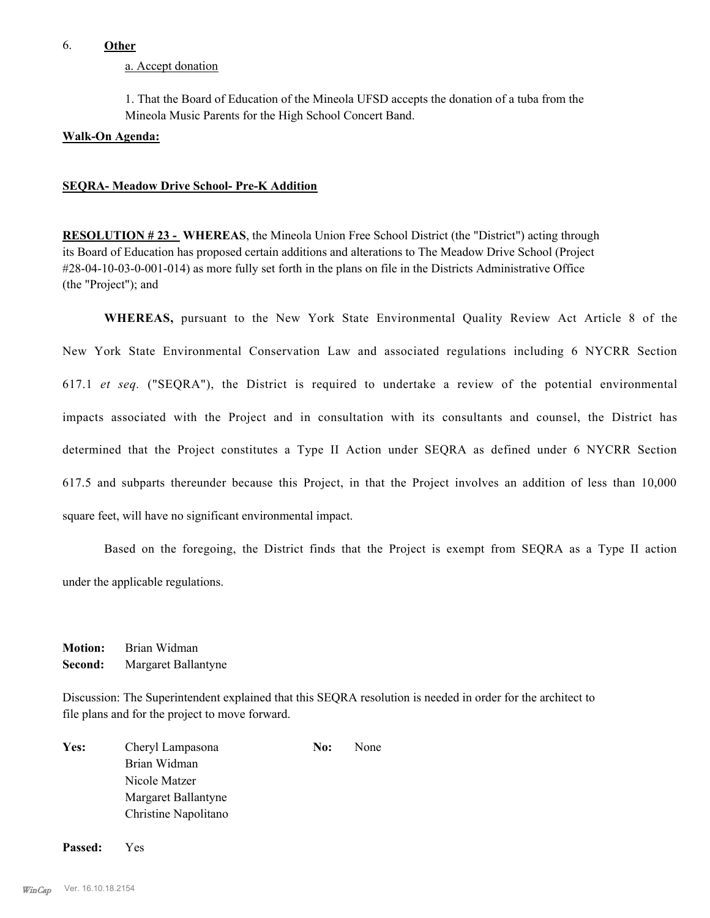#### 6. **Other**

a. Accept donation

1. That the Board of Education of the Mineola UFSD accepts the donation of a tuba from the Mineola Music Parents for the High School Concert Band.

#### **Walk-On Agenda:**

#### **SEQRA- Meadow Drive School- Pre-K Addition**

**RESOLUTION # 23 - WHEREAS**, the Mineola Union Free School District (the "District") acting through its Board of Education has proposed certain additions and alterations to The Meadow Drive School (Project #28-04-10-03-0-001-014) as more fully set forth in the plans on file in the Districts Administrative Office (the "Project"); and

**WHEREAS,** pursuant to the New York State Environmental Quality Review Act Article 8 of the New York State Environmental Conservation Law and associated regulations including 6 NYCRR Section 617.1 *et seq.* ("SEQRA"), the District is required to undertake a review of the potential environmental impacts associated with the Project and in consultation with its consultants and counsel, the District has determined that the Project constitutes a Type II Action under SEQRA as defined under 6 NYCRR Section 617.5 and subparts thereunder because this Project, in that the Project involves an addition of less than 10,000 square feet, will have no significant environmental impact.

Based on the foregoing, the District finds that the Project is exempt from SEQRA as a Type II action under the applicable regulations.

**Motion:** Brian Widman **Second:** Margaret Ballantyne

Discussion: The Superintendent explained that this SEQRA resolution is needed in order for the architect to file plans and for the project to move forward.

| <b>Yes:</b> | Cheryl Lampasona     | No: | None |
|-------------|----------------------|-----|------|
|             | Brian Widman         |     |      |
|             | Nicole Matzer        |     |      |
|             | Margaret Ballantyne  |     |      |
|             | Christine Napolitano |     |      |
|             |                      |     |      |

**Passed:** Yes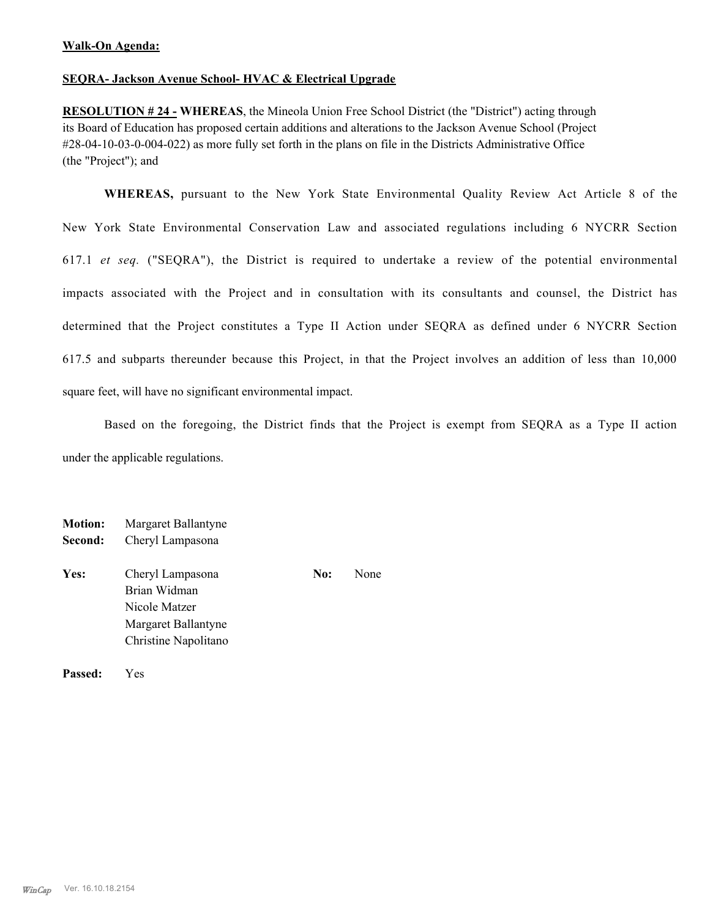## **SEQRA- Jackson Avenue School- HVAC & Electrical Upgrade**

**RESOLUTION # 24 - WHEREAS**, the Mineola Union Free School District (the "District") acting through its Board of Education has proposed certain additions and alterations to the Jackson Avenue School (Project #28-04-10-03-0-004-022) as more fully set forth in the plans on file in the Districts Administrative Office (the "Project"); and

**WHEREAS,** pursuant to the New York State Environmental Quality Review Act Article 8 of the New York State Environmental Conservation Law and associated regulations including 6 NYCRR Section 617.1 *et seq.* ("SEQRA"), the District is required to undertake a review of the potential environmental impacts associated with the Project and in consultation with its consultants and counsel, the District has determined that the Project constitutes a Type II Action under SEQRA as defined under 6 NYCRR Section 617.5 and subparts thereunder because this Project, in that the Project involves an addition of less than 10,000 square feet, will have no significant environmental impact.

Based on the foregoing, the District finds that the Project is exempt from SEQRA as a Type II action under the applicable regulations.

| <b>Motion:</b><br>Second: | Margaret Ballantyne<br>Cheryl Lampasona           |     |      |
|---------------------------|---------------------------------------------------|-----|------|
| Yes:                      | Cheryl Lampasona<br>Brian Widman<br>Nicole Matzer | No: | None |
|                           | Margaret Ballantyne                               |     |      |
|                           | Christine Napolitano                              |     |      |

**Passed:** Yes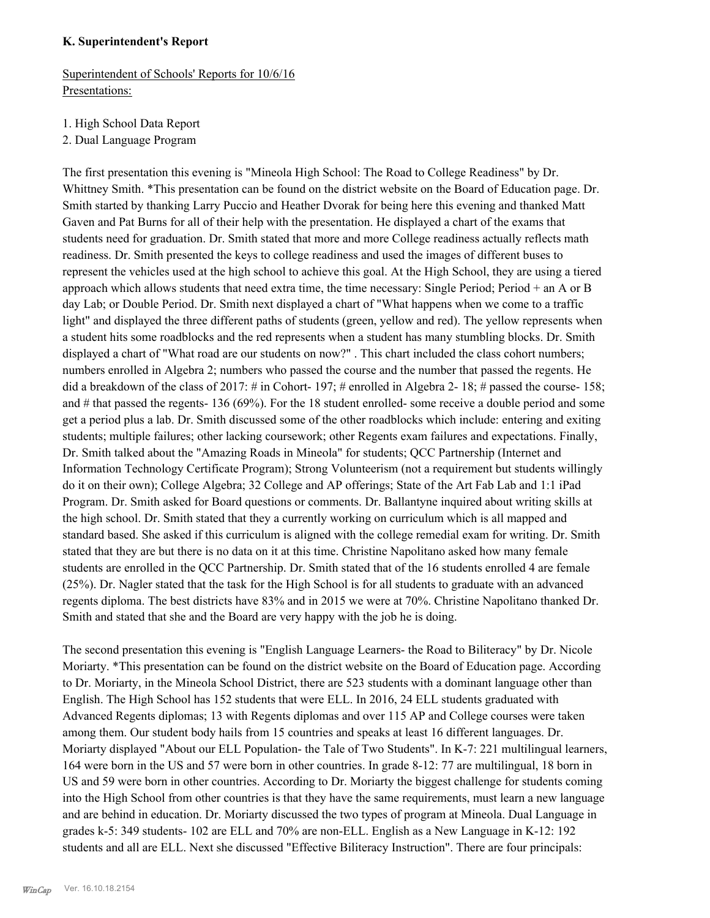#### **K. Superintendent's Report**

Superintendent of Schools' Reports for 10/6/16 Presentations:

- 1. High School Data Report
- 2. Dual Language Program

The first presentation this evening is "Mineola High School: The Road to College Readiness" by Dr. Whittney Smith. \*This presentation can be found on the district website on the Board of Education page. Dr. Smith started by thanking Larry Puccio and Heather Dvorak for being here this evening and thanked Matt Gaven and Pat Burns for all of their help with the presentation. He displayed a chart of the exams that students need for graduation. Dr. Smith stated that more and more College readiness actually reflects math readiness. Dr. Smith presented the keys to college readiness and used the images of different buses to represent the vehicles used at the high school to achieve this goal. At the High School, they are using a tiered approach which allows students that need extra time, the time necessary: Single Period; Period + an A or B day Lab; or Double Period. Dr. Smith next displayed a chart of "What happens when we come to a traffic light" and displayed the three different paths of students (green, yellow and red). The yellow represents when a student hits some roadblocks and the red represents when a student has many stumbling blocks. Dr. Smith displayed a chart of "What road are our students on now?" . This chart included the class cohort numbers; numbers enrolled in Algebra 2; numbers who passed the course and the number that passed the regents. He did a breakdown of the class of 2017: # in Cohort- 197; # enrolled in Algebra 2-18; # passed the course- 158; and # that passed the regents- 136 (69%). For the 18 student enrolled- some receive a double period and some get a period plus a lab. Dr. Smith discussed some of the other roadblocks which include: entering and exiting students; multiple failures; other lacking coursework; other Regents exam failures and expectations. Finally, Dr. Smith talked about the "Amazing Roads in Mineola" for students; QCC Partnership (Internet and Information Technology Certificate Program); Strong Volunteerism (not a requirement but students willingly do it on their own); College Algebra; 32 College and AP offerings; State of the Art Fab Lab and 1:1 iPad Program. Dr. Smith asked for Board questions or comments. Dr. Ballantyne inquired about writing skills at the high school. Dr. Smith stated that they a currently working on curriculum which is all mapped and standard based. She asked if this curriculum is aligned with the college remedial exam for writing. Dr. Smith stated that they are but there is no data on it at this time. Christine Napolitano asked how many female students are enrolled in the QCC Partnership. Dr. Smith stated that of the 16 students enrolled 4 are female (25%). Dr. Nagler stated that the task for the High School is for all students to graduate with an advanced regents diploma. The best districts have 83% and in 2015 we were at 70%. Christine Napolitano thanked Dr. Smith and stated that she and the Board are very happy with the job he is doing.

The second presentation this evening is "English Language Learners- the Road to Biliteracy" by Dr. Nicole Moriarty. \*This presentation can be found on the district website on the Board of Education page. According to Dr. Moriarty, in the Mineola School District, there are 523 students with a dominant language other than English. The High School has 152 students that were ELL. In 2016, 24 ELL students graduated with Advanced Regents diplomas; 13 with Regents diplomas and over 115 AP and College courses were taken among them. Our student body hails from 15 countries and speaks at least 16 different languages. Dr. Moriarty displayed "About our ELL Population- the Tale of Two Students". In K-7: 221 multilingual learners, 164 were born in the US and 57 were born in other countries. In grade 8-12: 77 are multilingual, 18 born in US and 59 were born in other countries. According to Dr. Moriarty the biggest challenge for students coming into the High School from other countries is that they have the same requirements, must learn a new language and are behind in education. Dr. Moriarty discussed the two types of program at Mineola. Dual Language in grades k-5: 349 students- 102 are ELL and 70% are non-ELL. English as a New Language in K-12: 192 students and all are ELL. Next she discussed "Effective Biliteracy Instruction". There are four principals: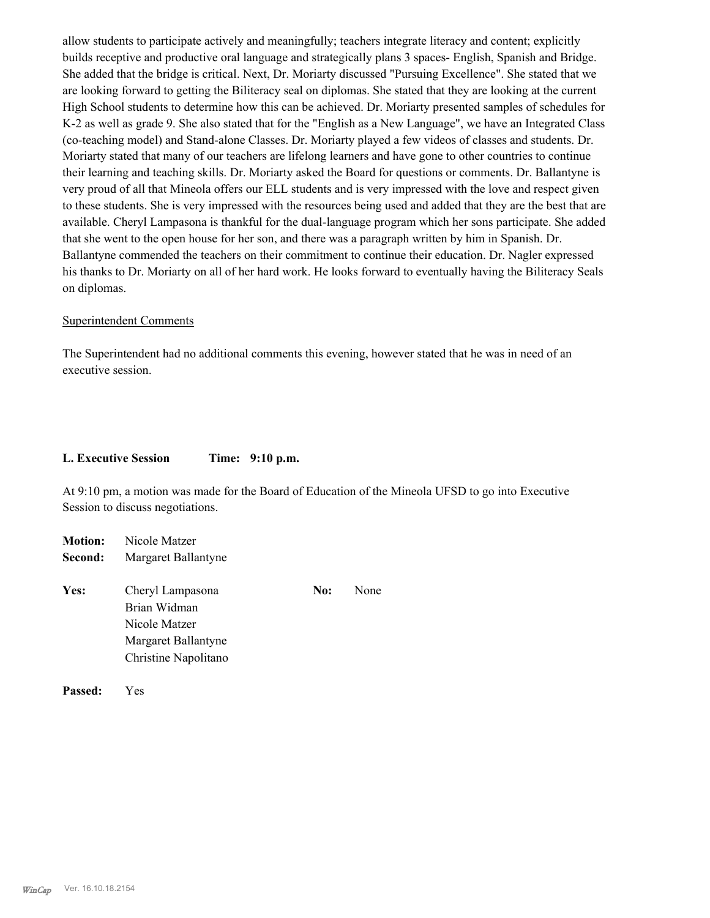allow students to participate actively and meaningfully; teachers integrate literacy and content; explicitly builds receptive and productive oral language and strategically plans 3 spaces- English, Spanish and Bridge. She added that the bridge is critical. Next, Dr. Moriarty discussed "Pursuing Excellence". She stated that we are looking forward to getting the Biliteracy seal on diplomas. She stated that they are looking at the current High School students to determine how this can be achieved. Dr. Moriarty presented samples of schedules for K-2 as well as grade 9. She also stated that for the "English as a New Language", we have an Integrated Class (co-teaching model) and Stand-alone Classes. Dr. Moriarty played a few videos of classes and students. Dr. Moriarty stated that many of our teachers are lifelong learners and have gone to other countries to continue their learning and teaching skills. Dr. Moriarty asked the Board for questions or comments. Dr. Ballantyne is very proud of all that Mineola offers our ELL students and is very impressed with the love and respect given to these students. She is very impressed with the resources being used and added that they are the best that are available. Cheryl Lampasona is thankful for the dual-language program which her sons participate. She added that she went to the open house for her son, and there was a paragraph written by him in Spanish. Dr. Ballantyne commended the teachers on their commitment to continue their education. Dr. Nagler expressed his thanks to Dr. Moriarty on all of her hard work. He looks forward to eventually having the Biliteracy Seals on diplomas.

#### Superintendent Comments

The Superintendent had no additional comments this evening, however stated that he was in need of an executive session.

#### **L. Executive Session Time: 9:10 p.m.**

At 9:10 pm, a motion was made for the Board of Education of the Mineola UFSD to go into Executive Session to discuss negotiations.

| <b>Motion:</b> | Nicole Matzer                                                                                    |     |      |
|----------------|--------------------------------------------------------------------------------------------------|-----|------|
| Second:        | Margaret Ballantyne                                                                              |     |      |
| Yes:           | Cheryl Lampasona<br>Brian Widman<br>Nicole Matzer<br>Margaret Ballantyne<br>Christine Napolitano | No: | None |
|                |                                                                                                  |     |      |

**Passed:** Yes